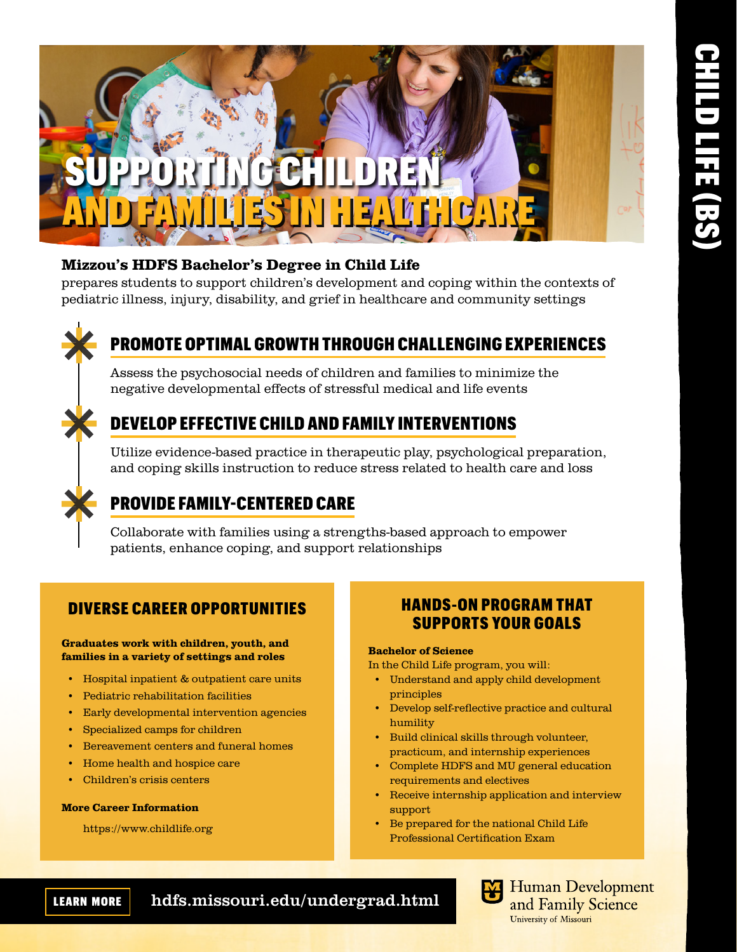

### Mizzou's HDFS Bachelor's Degree in Child Life

prepares students to support children's development and coping within the contexts of pediatric illness, injury, disability, and grief in healthcare and community settings



# PROMOTE OPTIMAL GROWTH THROUGH CHALLENGING EXPERIENCES

Assess the psychosocial needs of children and families to minimize the negative developmental effects of stressful medical and life events

# DEVELOP EFFECTIVE CHILD AND FAMILY INTERVENTIONS

Utilize evidence-based practice in therapeutic play, psychological preparation, and coping skills instruction to reduce stress related to health care and loss

# PROVIDE FAMILY-CENTERED CARE

Collaborate with families using a strengths-based approach to empower patients, enhance coping, and support relationships

## DIVERSE CAREER OPPORTUNITIES

### Graduates work with children, youth, and families in a variety of settings and roles

- Hospital inpatient & outpatient care units
- Pediatric rehabilitation facilities
- Early developmental intervention agencies
- Specialized camps for children
- Bereavement centers and funeral homes
- Home health and hospice care
- Children's crisis centers

### More Career Information

https://www.childlife.org

### HANDS-ON PROGRAM THAT SUPPORTS YOUR GOALS

### Bachelor of Science

In the Child Life program, you will:

- Understand and apply child development principles
- Develop self-reflective practice and cultural humility
- Build clinical skills through volunteer, practicum, and internship experiences
- Complete HDFS and MU general education requirements and electives
- Receive internship application and interview support
- Be prepared for the national Child Life Professional Certification Exam

LEARN  MORE hdfs.missouri.edu/undergrad.html



**Human Development** and Family Science University of Missouri